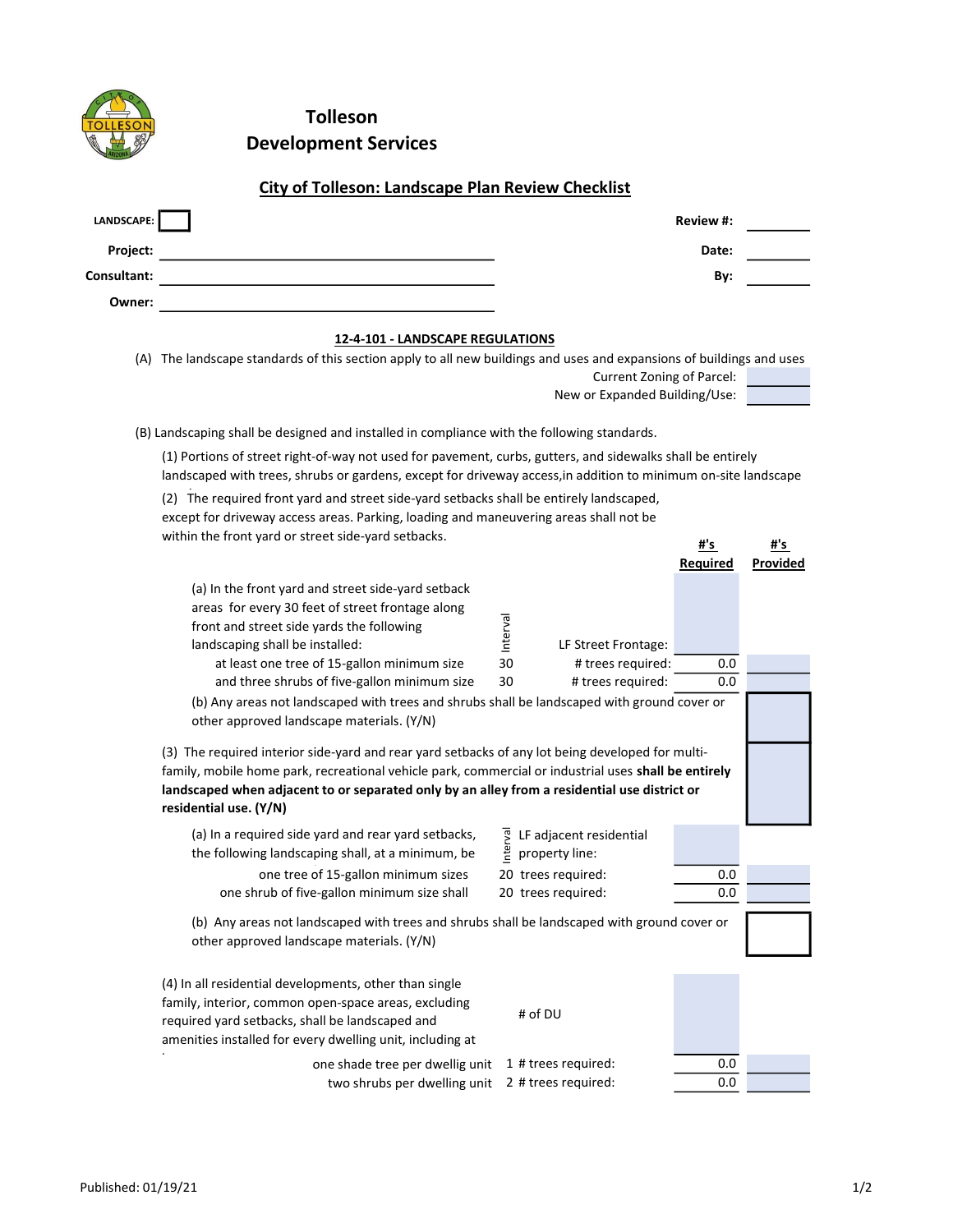

Tolleson Development Services

## City of Tolleson: Landscape Plan Review Checklist

| LANDSCAPE:  | <b>Review #:</b> |
|-------------|------------------|
| Project:    | Date:            |
| Consultant: | By:              |
| Owner:      |                  |

## 12-4-101 - LANDSCAPE REGULATIONS

| (A) The landscape standards of this section apply to all new buildings and uses and expansions of buildings and uses |  |
|----------------------------------------------------------------------------------------------------------------------|--|
| Current Zoning of Parcel:                                                                                            |  |

New or Expanded Building/Use:

(B) Landscaping shall be designed and installed in compliance with the following standards.

(1) Portions of street right-of-way not used for pavement, curbs, gutters, and sidewalks shall be entirely landscaped with trees, shrubs or gardens, except for driveway access,in addition to minimum on-site landscape

| (2) The required front yard and street side-yard setbacks shall be entirely landscaped, |
|-----------------------------------------------------------------------------------------|
| except for driveway access areas. Parking, loading and maneuvering areas shall not be   |
| within the front yard or street side-yard setbacks.                                     |

| within the front yard or street side-yard setbacks.                                                                                                                                                                                                                                                                                |          |                                           | #'s      | #'s      |  |
|------------------------------------------------------------------------------------------------------------------------------------------------------------------------------------------------------------------------------------------------------------------------------------------------------------------------------------|----------|-------------------------------------------|----------|----------|--|
|                                                                                                                                                                                                                                                                                                                                    |          |                                           | Required | Provided |  |
| (a) In the front yard and street side-yard setback<br>areas for every 30 feet of street frontage along<br>front and street side yards the following<br>landscaping shall be installed:                                                                                                                                             | Interval | LF Street Frontage:                       |          |          |  |
| at least one tree of 15-gallon minimum size                                                                                                                                                                                                                                                                                        | 30       | # trees required:                         | 0.0      |          |  |
| and three shrubs of five-gallon minimum size                                                                                                                                                                                                                                                                                       | 30       | # trees required:                         | 0.0      |          |  |
| (b) Any areas not landscaped with trees and shrubs shall be landscaped with ground cover or<br>other approved landscape materials. (Y/N)                                                                                                                                                                                           |          |                                           |          |          |  |
| (3) The required interior side-yard and rear yard setbacks of any lot being developed for multi-<br>family, mobile home park, recreational vehicle park, commercial or industrial uses shall be entirely<br>landscaped when adjacent to or separated only by an alley from a residential use district or<br>residential use. (Y/N) |          |                                           |          |          |  |
| (a) In a required side yard and rear yard setbacks,<br>the following landscaping shall, at a minimum, be                                                                                                                                                                                                                           | nterval  | LF adjacent residential<br>property line: |          |          |  |
| one tree of 15-gallon minimum sizes                                                                                                                                                                                                                                                                                                |          | 20 trees required:                        | 0.0      |          |  |
| one shrub of five-gallon minimum size shall                                                                                                                                                                                                                                                                                        |          | 20 trees required:                        | 0.0      |          |  |
| (b) Any areas not landscaped with trees and shrubs shall be landscaped with ground cover or<br>other approved landscape materials. (Y/N)                                                                                                                                                                                           |          |                                           |          |          |  |
| (4) In all residential developments, other than single<br>family, interior, common open-space areas, excluding<br>required yard setbacks, shall be landscaped and<br>amenities installed for every dwelling unit, including at                                                                                                     |          | # of DU                                   |          |          |  |
| one shade tree per dwellig unit                                                                                                                                                                                                                                                                                                    |          | 1 # trees required:                       | 0.0      |          |  |
| two shrubs per dwelling unit                                                                                                                                                                                                                                                                                                       |          | 2 # trees required:                       | 0.0      |          |  |